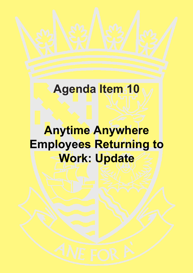# **Agenda Item 10**

# **Anytime Anywhere Employees Returning to Work: Update**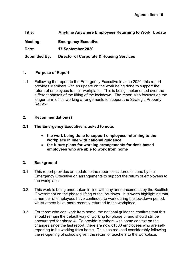**Title: Anytime Anywhere Employees Returning to Work: Update Meeting: Emergency Executive Date: 17 September 2020 Submitted By: Director of Corporate & Housing Services**

## **1. Purpose of Report**

- 1.1 Following the report to the Emergency Executive in June 2020, this report provides Members with an update on the work being done to support the return of employees to their workplace. This is being implemented over the different phases of the lifting of the lockdown. The report also focuses on the longer term office working arrangements to support the Strategic Property Review.
- **2. Recommendation(s)**
- **2.1 The Emergency Executive is asked to note:** 
	- **the work being done to support employees returning to the workplace in line with national guidance**
	- **the future plans for working arrangements for desk based employees who are able to work from home**

# **3. Background**

- 3.1 This report provides an update to the report considered in June by the Emergency Executive on arrangements to support the return of employees to the workplace.
- 3.2 This work is being undertaken in line with any announcements by the Scottish Government on the phased lifting of the lockdown. It is worth highlighting that a number of employees have continued to work during the lockdown period, whilst others have more recently returned to the workplace.
- 3.3 For those who can work from home, the national guidance confirms that this should remain the default way of working for phase 3, and should still be encouraged for phase 4. To provide Members with some context on the changes since the last report, there are now c1300 employees who are selfreporting to be working from home. This has reduced considerably following the re-opening of schools given the return of teachers to the workplace.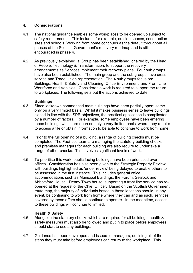## **4. Considerations**

- 4.1 The national guidance enables some workplaces to be opened up subject to safety requirements. This includes for example, outside spaces, construction sites and schools. Working from home continues as the default throughout all phases of the Scottish Government's recovery roadmap and is still encouraged in phase 4.
- 4.2 As previously explained, a Group has been established, chaired by the Head of People, Technology & Transformation, to support the recovery arrangements as Services implement their recovery plans. Four sub groups have also been established. The main group and the sub groups have cross service and Trade Union representation. The 4 sub groups focus on: Buildings; Health & Safety and Cleaning; Office Environment; and Front Line Workforce and Vehicles. Considerable work is required to support the return to workplaces. The following sets out the actions achieved to date.

#### **Buildings**

- 4.3 Since lockdown commenced most buildings have been partially open; some only on a very limited basis. Whilst it makes business sense to leave buildings closed in line with the SPR objectives, the practical application is complicated by a number of factors. For example, some employees have been entering those buildings which are open on only a very limited basis, where they require to access a file or obtain information to be able to continue to work from home.
- 4.4 Prior to the full opening of a building, a range of building checks must be completed. The Facilities team are managing the statutory building checks, and premises managers for each building are also require to undertake a range of other checks. This involves significant levels of work.
- 4.5 To prioritise this work, public facing buildings have been prioritised over offices. Consideration has also been given to the Strategic Property Review, with buildings highlighted as 'under review' being delayed to enable others to be assessed in the first instance. This includes general office accommodations such as Municipal Buildings, the Forum, Sealock and Abbotsford House. Denny Town house, supporting a front line service has reopened at the request of the Chief Officer. Based on the Scottish Government route map, the majority of individuals based in these locations should, in any event, be continuing to work from home where they can and as such, services covered by these offers should continue to operate. In the meantime, access to these buildings will continue to limited.

#### **Health & Safety**

- 4.6 Alongside the statutory checks which are required for all buildings, health & safety measures must also be followed and put in to place before employees should start to use any buildings.
- 4.7 Guidance has been developed and issued to managers, outlining all of the steps they must take before employees can return to the workplace. This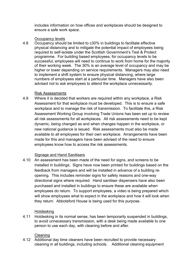includes information on how offices and workplaces should be designed to ensure a safe work space.

## Occupancy levels

4.8 Occupancy should be limited to c30% in buildings to facilitate effective physical distancing and to mitigate the potential impact of employees being required to self-isolate under the Scottish Government's Test & Protect programme. For building based employees, for occupancy levels to be successful, employees will need to continue to work from home for the majority of their working week. The 30% is an average level of occupancy and may be higher or lower depending on service requirements. Managers may also need to implement a shift system to ensure physical distancing, where large numbers of employees start at a particular time. Managers have also been advised not to ask employees to attend the workplace unnecessarily.

#### Risk Assessments

4.9 Where it is decided that workers are required within any workplace, a Risk Assessment for that workplace must be developed. This is to ensure a safe workplace and to manage the risk of transmission. To facilitate this, a Risk Assessment Working Group involving Trade Unions has been set up to review all risk assessments for all workplaces. All risk assessments need to be kept dynamic, being changed as and when changes happen in the workplace, or new national guidance is issued. Risk assessments must also be made available to all employees for their own workplace. Arrangements have been made for this and managers have been advised of the need to ensure employees know how to access the risk assessments.

## Signage and Hand Sanitisers

4.10 An assessment has been made of the need for signs, and screens to be installed in buildings. Signs have now been printed for buildings based on the feedback from managers and will be installed in advance of a building reopening. This includes reminder signs for safety reasons and one-way directional signs where required. Hand sanitiser dispensers have also been purchased and installed in buildings to ensure these are available when employees do return. To support employees, a video is being prepared which will show employees what to expect in the workplace and how it will look when they return. Abbotsford House is being used for this purpose.

## Hotdesking

4.11 Hotdesking in its normal sense, has been temporarily suspended in buildings, to avoid unnecessary transmission, with a desk being made available to one person to use each day, with cleaning before and after.

## **Cleaning**

4.12 Additional day time cleaners have been recruited to provide necessary cleaning in all buildings, including schools. Additional cleaning equipment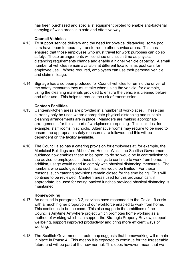has been purchased and specialist equipment piloted to enable anti-bacterial spraying of wide areas in a safe and effective way.

## **Council Vehicles**

- 4.13 To support service delivery and the need for physical distancing, some pool cars have been temporarily transferred to other service areas. This has ensured that those employees who must travel for work purposes can do so safely. These arrangements will continue until such time as physical distancing requirements change and enable a higher vehicle capacity. A small number of vehicles remain available at different locations as pool cars for employee use. Where required, employees can use their personal vehicle and claim mileage.
- 4.14 Signage has also been produced for Council vehicles to remind the driver of the safety measures they must take when using the vehicle, for example, using the cleaning materials provided to ensure the vehicle is cleaned before and after use. This helps to reduce the risk of transmission.

## **Canteen Facilities**

- 4.15 Canteen/kitchen areas are provided in a number of workplaces. These can currently only be used where appropriate physical distancing and suitable cleaning arrangements are in place. Managers are making appropriate arrangements for this as part of workplaces re-opening. This includes, for example, staff rooms in schools. Alternative rooms may require to be used to ensure the appropriate safety measures are followed and this will be dependent on the facility available.
- 4.16 The Council also has a catering provision for employees at, for example, the Municipal Buildings and Abbotsford House. Whilst the Scottish Government guidance now enables these to be open, to do so would be in contradiction to the advice to employees in these buildings to continue to work from home. In addition, usage would need to comply with physical distancing measures. The numbers who could get into such facilities would be limited. For these reasons, such catering provisions remain closed for the time being. This will continue to be reviewed. Canteen areas used for this provision can, if appropriate, be used for eating packed lunches provided physical distancing is maintained.

## **Homeworking**

- 4.17 As detailed in paragraph 3.2, services have responded to the Covid-19 crisis with a much higher proportion of our workforce enabled to work from home. This continues to be the case. This also supports the ambitions of the Council's Anytime Anywhere project which promotes home working as a method of working which can support the Strategic Property Review, support wellbeing, support improved productivity and bring more efficient ways of working.
- 4.18 The Scottish Government's route map suggests that homeworking will remain in place in Phase 4. This means it is expected to continue for the foreseeable future and will be part of the new normal. This does however, mean that we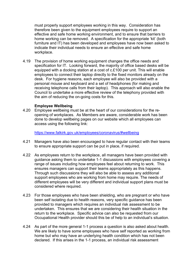must properly support employees working in this way. Consideration has therefore been given to the equipment employees require to support an effective and safe home working environment, and to ensure that barriers to home working can be removed. A specification for the appropriate 'kit' (both furniture and IT) has been developed and employees have now been asked to indicate their individual needs to ensure an effective and safe home workplace.

4.19 The provision of home working equipment changes the office needs and specification for IT. Looking forward, the majority of office based desks will be equipped with a docking station at a cost of c.£100 per unit. This will enable employees to connect their laptop directly to the fixed monitors already on the desk. For hygiene reasons, each employee will also be provided with a personal mouse and keyboard and a set of headphones (for making and receiving telephone calls from their laptop). This approach will also enable the Council to undertake a more effective review of the telephony provided with the aim of reducing the on-going costs for this.

#### **Employee Wellbeing**

4.20 Employee wellbeing must be at the heart of our considerations for the reopening of workplaces. As Members are aware, considerable work has been done to develop wellbeing pages on our website which all employees can access using the following link:

<https://www.falkirk.gov.uk/employees/coronavirus/#wellbeing>

- 4.21 Managers have also been encouraged to have regular contact with their teams to ensure appropriate support can be put in place, if required.
- 4.22 As employees return to the workplace, all managers have been provided with guidance asking them to undertake 1-1 discussions with employees covering a range of issues including how employees feel about returning to work. This ensures managers can support their teams appropriately as this happens. Through such discussions they will also be able to assess any additional support employees who are working from home may require. The needs of different employees will be very different and individual support plans must be considered where required.
- 4.23 For those employees who have been shielding, who are pregnant or who have been self isolating due to health reasons, very specific guidance has been provided to managers which requires an individual risk assessment to be undertaken. This ensures that we are considering their health situation in the return to the workplace. Specific advice can also be requested from our Occupational Health provider should this be of help to an individual's situation.
- 4.24 As part of the more general 1-1 process a question is also asked about health. We are likely to have some employees who have self reported as working from home but who may have an underlying health condition which has not been declared. If this arises in the 1-1 process, an individual risk assessment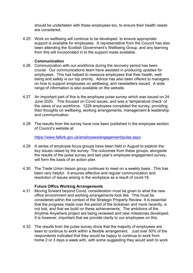should be undertaken with these employees too, to ensure their health needs are considered.

4.25 Work on wellbeing will continue to be developed, to ensure appropriate support is available for employees. A representative from the Council has also been attending the Scottish Government's Wellbeing Group, and any learning from this will incorporated in to the support made available.

#### **Communication**

- 4.26 Communication with our workforce during the recovery period has been crucial. Our communications team have assisted in producing updates for employees. This has helped to reassure employees that their health, wellbeing and safety is our top priority. Advice has also been offered to managers on how to support employees on wellbeing, and newsletters issued. A wide range of information is also available on the website.
- 4.27 An important part of this is the employee pulse survey which was issued on 24 June 2020. This focused on Covid issues, and was a 'temperature check' of the views of our workforce. 1226 employees completed the survey, providing their thoughts on wellbeing, working arrangements, management & leadership and communication.
- 4.28 The results from the survey have now been published in the employee section of Council's website at:

<https://www.falkirk.gov.uk/employees/engagement/pulse.aspx>

- 4.29 A series of employee focus groups have been held in August to explore the key issues raised by the survey. The outcomes from these groups, alongside the results of the pulse survey and last year's employee engagement survey, will form the basis of an action plan.
- 4.30 The Trade Union liaison group continues to meet on a weekly basis. This has been very helpful. It ensures effective and regular communication and resolution of issues arising in the workplace as a result of covid-19.

#### **Future Office Working Arrangements**

- 4.31 Moving forward beyond Covid, consideration must be given to what the new office environment and working arrangements look like. This must be considered within the context of the Strategic Property Review. It is essential that the progress made over the period of the lockdown and more recently, is not lost, and that we build on these achievements. The ambitions of the Anytime Anywhere project are being reviewed and new milestones developed. It is however, important that we provide clarity to our employees on this.
- 4.32 The results from the pulse survey show that the majority of employees are keen to continue to work within a flexible arrangement. Just over 50% of the respondents indicated that they would be happy to continue to work from home 2 or 3 days a week with, with some suggesting they would wish to work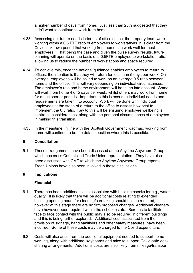a higher number of days from home. Just less than 20% suggested that they didn't want to continue to work from home.

- 4.33 Assessing our future needs in terms of office space, the property team were working within a 0.6 FTE ratio of employees to workstations. It is clear from the Covid lockdown period that working from home can work well for most employees. That being the case and given the pulse survey results, future planning will operate on the basis of a 0.5FTE employee to workstation ratio, allowing us to reduce the number of workstations and space required.
- 4.34 To achieve this, once the national guidance enables employees to return to offices, the intention is that they will return for less than 5 days per week. On average, employees will be asked to work on an average 0.5 ratio between home and the office. This will vary depending on individual circumstances. The employee's role and home environment will be taken into account. Some will work from home 4 or 5 days per week, whilst others may work from home for much shorter periods. Important to this is ensuring individual needs and requirements are taken into account. Work will be done with individual employees at the stage of a return to the office to assess how best to implement the 0.5 ratio. Key to this will be ensuring employee wellbeing is central to considerations, along with the personal circumstances of employees in making this transition.
- 4.35 In the meantime, in line with the Scottish Government roadmap, working from home will continue to be the default position where this is possible.

## **5 Consultation**

5.1 These arrangements have been discussed at the Anytime Anywhere Group which has cross Council and Trade Union representation. They have also been discussed with CMT to which the Anytime Anywhere Group reports. Trade Unions have also been involved in these discussions.

## **6 Implications**

## **Financial**

- 6.1 There has been additional costs associated with building checks for e.g., water quality. It is likely that there will be additional costs relating to extended building opening hours for cleaning/caretaking should this be required, however at this stage there are no firm proposed changes. Additional cleaners have however been required within the school estate. Screens to facilitate face to face contact with the public may also be required in different buildings and this is being further explored. Additional cost associated from the provision of signage, hand sanitisers and other safety measures have been incurred. Some of these costs may be charged to the Covid expenditure.
- 6.2 Costs will also arise from the additional equipment needed to support home working, along with additional keyboards and mice to support Covid-safe desk sharing arrangements. Additional costs are also likely from mileage/transport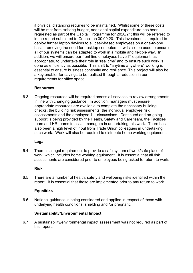if physical distancing requires to be maintained. Whilst some of these costs will be met from existing budget, additional capital expenditure has been requested as part of the Capital Programme for 2020/21; this will be referred to in the report submitted to Council on 30.09.20. This investment is required to deploy further laptop devices to all desk-based employees on a one-to-one basis, removing the need for desktop computers. It will also be used to ensure all of our systems can be adapted to work in a mobile and flexible way. In addition, we will ensure our front line employees have IT equipment, as appropriate, to undertake their role in 'real time' and to ensure such work is done as efficiently as possible. This shift to "anytime anywhere" working is essential to ensure business continuity and resilience. This project will also be a key enabler for savings to be realised through a reduction in our requirements for office space.

## **Resources**

6.3 Ongoing resources will be required across all services to review arrangements in line with changing guidance. In addition, managers must ensure appropriate resources are available to complete the necessary building checks, the building risk assessments, the individual employee risk assessments and the employee 1-1 discussions. Continued and on-going support is being provided by the Health, Safety and Care team, the Facilities team and HR teams to assist managers in undertaking this work. There has also been a high level of input from Trade Union colleagues in undertaking such work. Work will also be required to distribute home working equipment.

#### **Legal**

6.4 There is a legal requirement to provide a safe system of work/safe place of work, which includes home working equipment. It is essential that all risk assessments are considered prior to employees being asked to return to work.

#### **Risk**

6.5 There are a number of health, safety and wellbeing risks identified within the report. It is essential that these are implemented prior to any return to work.

#### **Equalities**

6.6 National guidance is being considered and applied in respect of those with underlying health conditions, shielding and /or pregnant.

#### **Sustainability/Environmental Impact**

6.7 A sustainability/environmental impact assessment was not required as part of this report.